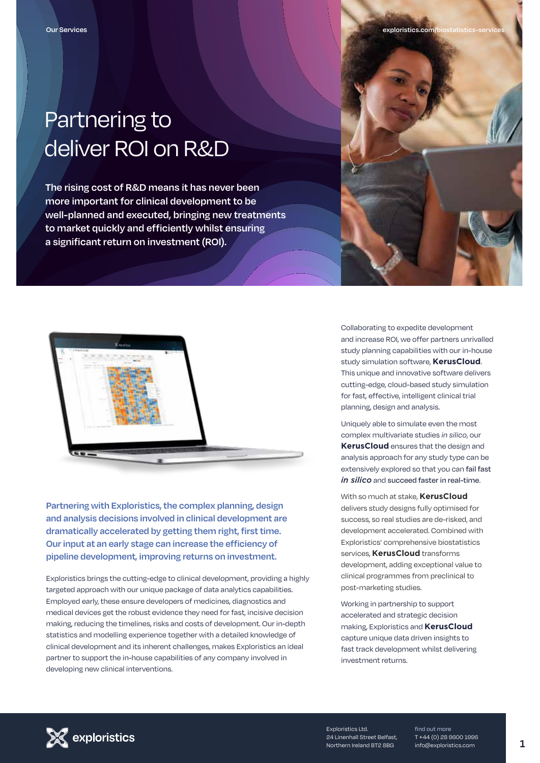## Partnering to deliver ROI on R&D

**The rising cost of R&D means it has never been more important for clinical development to be well-planned and executed, bringing new treatments to market quickly and efficiently whilst ensuring a significant return on investment (ROI).**



**Partnering with Exploristics, the complex planning, design and analysis decisions involved in clinical development are dramatically accelerated by getting them right, first time. Our input at an early stage can increase the efficiency of pipeline development, improving returns on investment.**

Exploristics brings the cutting-edge to clinical development, providing a highly targeted approach with our unique package of data analytics capabilities. Employed early, these ensure developers of medicines, diagnostics and medical devices get the robust evidence they need for fast, incisive decision making, reducing the timelines, risks and costs of development. Our in-depth statistics and modelling experience together with a detailed knowledge of clinical development and its inherent challenges, makes Exploristics an ideal partner to support the in-house capabilities of any company involved in developing new clinical interventions.



Collaborating to expedite development and increase ROI, we offer partners unrivalled study planning capabilities with our in-house study simulation software, **KerusCloud**. This unique and innovative software delivers cutting-edge, cloud-based study simulation for fast, effective, intelligent clinical trial planning, design and analysis.

Uniquely able to simulate even the most complex multivariate studies *in silico*, our **KerusCloud** ensures that the design and analysis approach for any study type can be extensively explored so that you can fail fast *in silico* and succeed faster in real-time.

With so much at stake, **KerusCloud**  delivers study designs fully optimised for success, so real studies are de-risked, and development accelerated. Combined with Exploristics' comprehensive biostatistics services, **KerusCloud** transforms development, adding exceptional value to clinical programmes from preclinical to post-marketing studies.

Working in partnership to support accelerated and strategic decision making, Exploristics and **KerusCloud** capture unique data driven insights to fast track development whilst delivering investment returns.



Exploristics Ltd. 24 Linenhall Street Belfast, Northern Ireland BT2 8BG

find out more T +44 (0) 28 9600 1996 info@exploristics.com